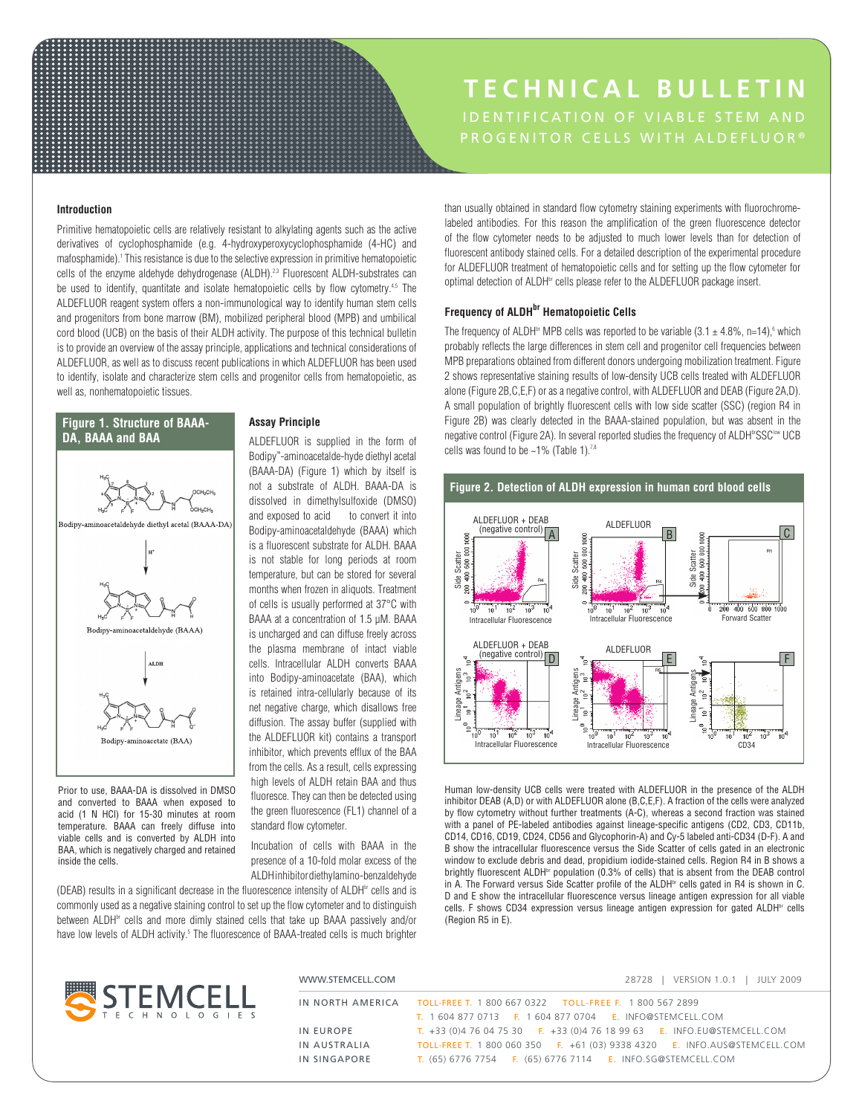# **TECHNICAL BULLETIN** PROGENITOR CELLS WITH ALDEFLUOR®

## **Introduction**

Primitive hematopoietic cells are relatively resistant to alkylating agents such as the active derivatives of cyclophosphamide (e.g. 4-hydroxyperoxycyclophosphamide (4-HC) and mafosphamide).1 This resistance is due to the selective expression in primitive hematopoietic cells of the enzyme aldehyde dehydrogenase (ALDH).<sup>2,3</sup> Fluorescent ALDH-substrates can be used to identify, quantitate and isolate hematopoietic cells by flow cytometry.<sup>4,5</sup> The ALDEFLUOR reagent system offers a non-immunological way to identify human stem cells and progenitors from bone marrow (BM), mobilized peripheral blood (MPB) and umbilical cord blood (UCB) on the basis of their ALDH activity. The purpose of this technical bulletin is to provide an overview of the assay principle, applications and technical considerations of ALDEFLUOR, as well as to discuss recent publications in which ALDEFLUOR has been used to identify, isolate and characterize stem cells and progenitor cells from hematopoietic, as well as, nonhematopoietic tissues.

<u>.........................</u>



Prior to use, BAAA-DA is dissolved in DMSO and converted to BAAA when exposed to acid (1 N HCl) for 15-30 minutes at room temperature. BAAA can freely diffuse into viable cells and is converted by ALDH into BAA, which is negatively charged and retained inside the cells.

## **Assay Principle**

ALDEFLUOR is supplied in the form of Bodipy™ -aminoacetalde-hyde diethyl acetal (BAAA-DA) (Figure 1) which by itself is not a substrate of ALDH. BAAA-DA is dissolved in dimethylsulfoxide (DMSO) and exposed to acid to convert it into Bodipy-aminoacetaldehyde (BAAA) which is a fluorescent substrate for ALDH. BAAA is not stable for long periods at room temperature, but can be stored for several months when frozen in aliquots. Treatment of cells is usually performed at 37°C with BAAA at a concentration of 1.5 µM. BAAA is uncharged and can diffuse freely across the plasma membrane of intact viable cells. Intracellular ALDH converts BAAA into Bodipy-aminoacetate (BAA), which is retained intra-cellularly because of its net negative charge, which disallows free diffusion. The assay buffer (supplied with the ALDEFLUOR kit) contains a transport inhibitor, which prevents efflux of the BAA from the cells. As a result, cells expressing high levels of ALDH retain BAA and thus fluoresce. They can then be detected using the green fluorescence (FL1) channel of a standard flow cytometer.

Incubation of cells with BAAA in the presence of a 10-fold molar excess of the ALDH inhibitor diethylamino-benzaldehyde

(DEAB) results in a significant decrease in the fluorescence intensity of ALDH<sup>br</sup> cells and is commonly used as a negative staining control to set up the flow cytometer and to distinguish between ALDH<sup>br</sup> cells and more dimly stained cells that take up BAAA passively and/or have low levels of ALDH activity.<sup>5</sup> The fluorescence of BAAA-treated cells is much brighter than usually obtained in standard flow cytometry staining experiments with fluorochromelabeled antibodies. For this reason the amplification of the green fluorescence detector of the flow cytometer needs to be adjusted to much lower levels than for detection of fluorescent antibody stained cells. For a detailed description of the experimental procedure for ALDEFLUOR treatment of hematopoietic cells and for setting up the flow cytometer for optimal detection of ALDH<sup>br</sup> cells please refer to the ALDEFLUOR package insert.

# **Frequency of ALDH<sup>br</sup> Hematopoietic Cells**

The frequency of ALDH<sup>br</sup> MPB cells was reported to be variable  $(3.1 \pm 4.8\% , n=14)$ ,  $6$  which probably reflects the large differences in stem cell and progenitor cell frequencies between MPB preparations obtained from different donors undergoing mobilization treatment. Figure 2 shows representative staining results of low-density UCB cells treated with ALDEFLUOR alone (Figure 2B,C,E,F) or as a negative control, with ALDEFLUOR and DEAB (Figure 2A,D). A small population of brightly fluorescent cells with low side scatter (SSC) (region R4 in Figure 2B) was clearly detected in the BAAA-stained population, but was absent in the negative control (Figure 2A). In several reported studies the frequency of ALDH<sup>br</sup>SSC<sup>low</sup> UCB cells was found to be  $~1\%$  (Table 1).<sup>7,8</sup>



Human low-density UCB cells were treated with ALDEFLUOR in the presence of the ALDH inhibitor DEAB (A,D) or with ALDEFLUOR alone (B,C,E,F). A fraction of the cells were analyzed by flow cytometry without further treatments (A-C), whereas a second fraction was stained with a panel of PE-labeled antibodies against lineage-specific antigens (CD2, CD3, CD11b, CD14, CD16, CD19, CD24, CD56 and Glycophorin-A) and Cy-5 labeled anti-CD34 (D-F). A and B show the intracellular fluorescence versus the Side Scatter of cells gated in an electronic window to exclude debris and dead, propidium iodide-stained cells. Region R4 in B shows a brightly fluorescent ALDH<sup>br</sup> population (0.3% of cells) that is absent from the DEAB control in A. The Forward versus Side Scatter profile of the ALDH<sup>br</sup> cells gated in R4 is shown in C. D and E show the intracellular fluorescence versus lineage antigen expression for all viable cells. F shows CD34 expression versus lineage antigen expression for gated ALDH<sup>br</sup> cells (Region R5 in E).

|                                    | WWW.STEMCELL.COM | VERSION 1.0.1   JULY 2009<br>28728                                                                                                      |  |  |  |
|------------------------------------|------------------|-----------------------------------------------------------------------------------------------------------------------------------------|--|--|--|
| <b>EMCELL</b><br>H N O L O G I E S |                  | IN NORTH AMERICA TOLL-FREE T. 1 800 667 0322 TOLL-FREE F. 1 800 567 2899                                                                |  |  |  |
|                                    | IN EUROPE        | T. 1604 877 0713    E. 1604 877 0704    E. INFO@STEMCELL.COM<br>T. +33 (0)4 76 04 75 30 F. +33 (0)4 76 18 99 63 E. INFO.EU@STEMCELL.COM |  |  |  |
|                                    | IN AUSTRALIA     | TOLL-FREE T. 1 800 060 350 F. +61 (03) 9338 4320 E. INFO.AUS@STEMCELL.COM                                                               |  |  |  |
|                                    | IN SINGAPORE     | T. (65) 6776 7754 F. (65) 6776 7114 E. INFO.SG@STEMCELL.COM                                                                             |  |  |  |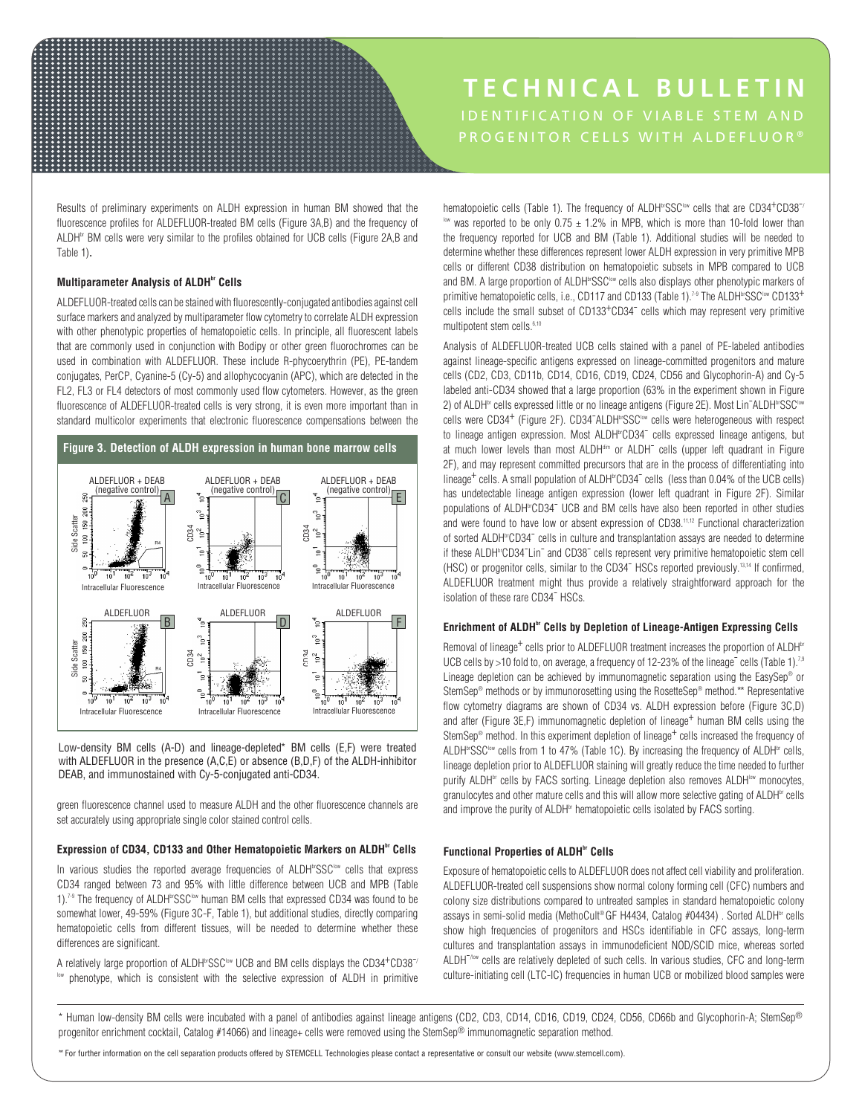# PROGENITOR CELLS WITH ALDEFLUOR® **TECHNICAL BULLETIN**

Results of preliminary experiments on ALDH expression in human BM showed that the fluorescence profiles for ALDEFLUOR-treated BM cells (Figure 3A,B) and the frequency of ALDH<sup>br</sup> BM cells were very similar to the profiles obtained for UCB cells (Figure 2A,B and Table 1).

## **Multiparameter Analysis of ALDH**<sup>br</sup> Cells

ALDEFLUOR-treated cells can be stained with fluorescently-conjugated antibodies against cell surface markers and analyzed by multiparameter flow cytometry to correlate ALDH expression with other phenotypic properties of hematopoietic cells. In principle, all fluorescent labels that are commonly used in conjunction with Bodipy or other green fluorochromes can be used in combination with ALDEFLUOR. These include R-phycoerythrin (PE), PE-tandem conjugates, PerCP, Cyanine-5 (Cy-5) and allophycocyanin (APC), which are detected in the FL2, FL3 or FL4 detectors of most commonly used flow cytometers. However, as the green fluorescence of ALDEFLUOR-treated cells is very strong, it is even more important than in standard multicolor experiments that electronic fluorescence compensations between the



Low-density BM cells (A-D) and lineage-depleted\* BM cells (E,F) were treated with ALDEFLUOR in the presence (A,C,E) or absence (B,D,F) of the ALDH-inhibitor DEAB, and immunostained with Cy-5-conjugated anti-CD34.

green fluorescence channel used to measure ALDH and the other fluorescence channels are set accurately using appropriate single color stained control cells.

# Expression of CD34, CD133 and Other Hematopoietic Markers on ALDH<sup>br</sup> Cells

In various studies the reported average frequencies of ALDH<sup>br</sup>SSC<sup>low</sup> cells that express CD34 ranged between 73 and 95% with little difference between UCB and MPB (Table 1).<sup>7-9</sup> The frequency of ALDH<sup>br</sup>SSC<sup>low</sup> human BM cells that expressed CD34 was found to be somewhat lower, 49-59% (Figure 3C-F, Table 1), but additional studies, directly comparing hematopoietic cells from different tissues, will be needed to determine whether these differences are significant.

A relatively large proportion of ALDH<sup>br</sup>SSC<sup>low</sup> UCB and BM cells displays the CD34<sup>+</sup>CD38<sup>-/</sup> low phenotype, which is consistent with the selective expression of ALDH in primitive hematopoietic cells (Table 1). The frequency of ALDH<sup>br</sup>SSC<sup>low</sup> cells that are CD34<sup>+</sup>CD38<sup>-/</sup>  $\frac{1000}{2}$  was reported to be only 0.75  $\pm$  1.2% in MPB, which is more than 10-fold lower than the frequency reported for UCB and BM (Table 1). Additional studies will be needed to determine whether these differences represent lower ALDH expression in very primitive MPB cells or different CD38 distribution on hematopoietic subsets in MPB compared to UCB and BM. A large proportion of ALDH<sup>br</sup>SSC<sup>low</sup> cells also displays other phenotypic markers of primitive hematopoietic cells, i.e., CD117 and CD133 (Table 1).<sup>7-9</sup> The ALDH<sup>br</sup>SSC<sup>low</sup> CD133<sup>+</sup> .<br>cells include the small subset of CD133<sup>+</sup>CD34<sup>-</sup> cells which may represent very primitive multipotent stem cells.<sup>6,10</sup>

Analysis of ALDEFLUOR-treated UCB cells stained with a panel of PE-labeled antibodies against lineage-specific antigens expressed on lineage-committed progenitors and mature cells (CD2, CD3, CD11b, CD14, CD16, CD19, CD24, CD56 and Glycophorin-A) and Cy-5 labeled anti-CD34 showed that a large proportion (63% in the experiment shown in Figure 2) of ALDH<sup>br</sup> cells expressed little or no lineage antigens (Figure 2E). Most Lin<sup>-</sup>ALDH<sup>br</sup>SSC<sup>low</sup> cells were CD34<sup>+</sup> (Figure 2F). CD34<sup>-</sup>ALDH<sup>br</sup>SSC<sup>low</sup> cells were heterogeneous with respect to lineage antigen expression. Most ALDH<sup>br</sup>CD34<sup>-</sup> cells expressed lineage antigens, but at much lower levels than most ALDH<sup>dim</sup> or ALDH<sup>-</sup> cells (upper left quadrant in Figure 2F), and may represent committed precursors that are in the process of differentiating into lineage<sup>+</sup> cells. A small population of ALDH<sup> $\text{wCD}34$ <sup>-</sup> cells (less than 0.04% of the UCB cells)</sup> has undetectable lineage antigen expression (lower left quadrant in Figure 2F). Similar populations of ALDH<sup>br</sup>CD34<sup>-</sup> UCB and BM cells have also been reported in other studies and were found to have low or absent expression of CD38.<sup>11,12</sup> Functional characterization of sorted ALDH<sup>br</sup>CD34<sup>-</sup> cells in culture and transplantation assays are needed to determine if these ALDH<sup>w</sup>CD34<sup>-</sup>Lin<sup>-</sup> and CD38<sup>-</sup> cells represent very primitive hematopoietic stem cell (HSC) or progenitor cells, similar to the CD34<sup>-</sup> HSCs reported previously.<sup>13,14</sup> If confirmed, ALDEFLUOR treatment might thus provide a relatively straightforward approach for the isolation of these rare CD34<sup>-</sup> HSCs.

# Enrichment of ALDH<sup>br</sup> Cells by Depletion of Lineage-Antigen Expressing Cells

Removal of lineage<sup>+</sup> cells prior to ALDEFLUOR treatment increases the proportion of ALDH<sup>br</sup> UCB cells by >10 fold to, on average, a frequency of 12-23% of the lineage<sup>-</sup> cells (Table 1).<sup>7,9</sup> Lineage depletion can be achieved by immunomagnetic separation using the EasySep® or StemSep® methods or by immunorosetting using the RosetteSep® method.\*\* Representative flow cytometry diagrams are shown of CD34 vs. ALDH expression before (Figure 3C,D) and after (Figure 3E,F) immunomagnetic depletion of lineage<sup>+</sup> human BM cells using the StemSep<sup>®</sup> method. In this experiment depletion of lineage<sup>+</sup> cells increased the frequency of ALDH<sup>br</sup>SSC<sup>low</sup> cells from 1 to 47% (Table 1C). By increasing the frequency of ALDH<sup>br</sup> cells, lineage depletion prior to ALDEFLUOR staining will greatly reduce the time needed to further purify ALDH<sup>br</sup> cells by FACS sorting. Lineage depletion also removes ALDH<sup>Ibw</sup> monocytes, granulocytes and other mature cells and this will allow more selective gating of ALDH<sup>br</sup> cells and improve the purity of ALDH<sup>br</sup> hematopoietic cells isolated by FACS sorting.

## **Functional Properties of ALDHbr Cells**

Exposure of hematopoietic cells to ALDEFLUOR does not affect cell viability and proliferation. ALDEFLUOR-treated cell suspensions show normal colony forming cell (CFC) numbers and colony size distributions compared to untreated samples in standard hematopoietic colony assays in semi-solid media (MethoCult® GF H4434, Catalog #04434). Sorted ALDH<sup>br</sup> cells show high frequencies of progenitors and HSCs identifiable in CFC assays, long-term cultures and transplantation assays in immunodeficient NOD/SCID mice, whereas sorted ALDH<sup>-/low</sup> cells are relatively depleted of such cells. In various studies, CFC and long-term culture-initiating cell (LTC-IC) frequencies in human UCB or mobilized blood samples were

\* Human low-density BM cells were incubated with a panel of antibodies against lineage antigens (CD2, CD3, CD14, CD16, CD19, CD24, CD56, CD66b and Glycophorin-A; StemSep® progenitor enrichment cocktail, Catalog #14066) and lineage+ cells were removed using the StemSep® immunomagnetic separation method.

\*\* For further information on the cell separation products offered by STEMCELL Technologies please contact a representative or consult our website (www.stemcell.com).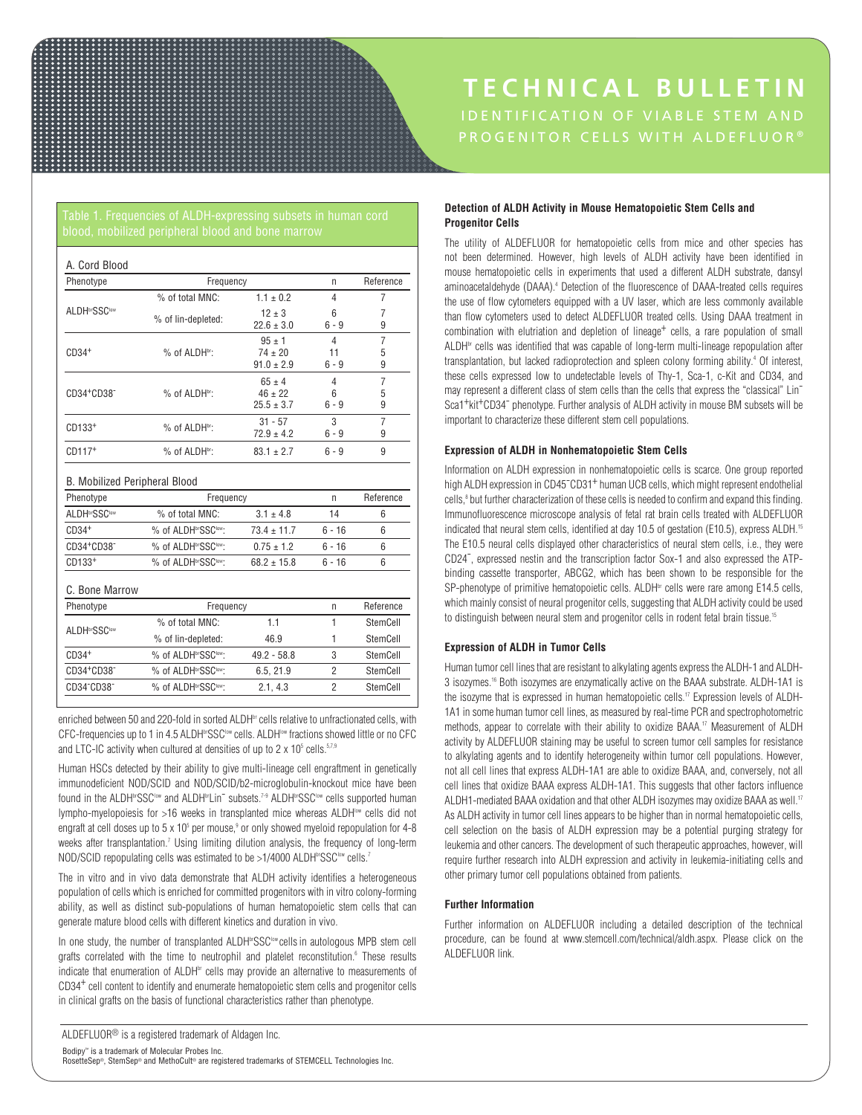# PROGENITOR CELLS WITH ALDEFLUOR® **TECHNICAL BULLETIN**

| Phenotype                 | Frequency          | n                                           | Reference         |             |
|---------------------------|--------------------|---------------------------------------------|-------------------|-------------|
|                           | % of total MNC:    | $1.1 \pm 0.2$                               | 4                 | 7           |
| ALDH <sup>br</sup> SSClow | % of lin-depleted: | $12 \pm 3$<br>$22.6 \pm 3.0$                | 6<br>$6 - 9$      | 7<br>9      |
| $CD34+$                   | % of ALDHbr:       | $95 + 1$<br>$74 \pm 20$<br>$91.0 \pm 2.9$   | 4<br>11<br>6 - 9  | 7<br>5<br>9 |
| CD34+CD38 <sup>-</sup>    | % of ALDHbr:       | $65 \pm 4$<br>$46 \pm 22$<br>$25.5 \pm 3.7$ | 4<br>6<br>$6 - 9$ | 7<br>5<br>9 |
| CD133 <sup>+</sup>        | % of ALDHbr:       | $31 - 57$<br>$72.9 \pm 4.2$                 | 3<br>$6 - 9$      | 7<br>9      |
| $CD117+$                  | % of ALDHbr:       | $83.1 \pm 2.7$                              | $6 - 9$           | 9           |

## B. Mobilized Peripheral Blood

| Phenotype                           | Frequency                                    | n               | Reference      |          |
|-------------------------------------|----------------------------------------------|-----------------|----------------|----------|
| <b>ALDH</b> brSSClow                | % of total MNC:                              | $3.1 \pm 4.8$   | 14             | 6        |
| $CD34+$                             | % of ALDHbrSSClow:                           | $73.4 \pm 11.7$ | $6 - 16$       | 6        |
| CD34+CD38-                          | % of ALDHbrSSClow:                           | $0.75 \pm 1.2$  | $6 - 16$       | 6        |
| CD133 <sup>+</sup>                  | % of ALDH <sup>br</sup> SSC <sup>tow</sup> : | $68.2 \pm 15.8$ | $6 - 16$       | 6        |
| C. Bone Marrow                      |                                              |                 |                |          |
| Phenotype                           | Frequency                                    | $\mathsf{n}$    | Reference      |          |
| ALDH <b>brSSClow</b>                | % of total MNC:                              | 1.1             | 1              | StemCell |
|                                     | % of lin-depleted:                           | 46.9            | 1              | StemCell |
| $CD34+$                             | % of ALDH <sup>br</sup> SSC <sup>tow</sup> : | $49.2 - 58.8$   | 3              | StemCell |
| CD34+CD38-                          | % of ALDHbrSSClow:                           | 6.5, 21.9       | $\overline{2}$ | StemCell |
| CD34 <sup>-</sup> CD38 <sup>-</sup> | % of ALDHbrSSClow:                           | 2.1, 4.3        | $\overline{2}$ | StemCell |

enriched between 50 and 220-fold in sorted ALDH<sup>br</sup> cells relative to unfractionated cells, with CFC-frequencies up to 1 in 4.5 ALDH<sup>br</sup>SSC<sup>low</sup> cells. ALDH<sup>low</sup> fractions showed little or no CFC and LTC-IC activity when cultured at densities of up to 2 x  $10^{\rm s}$  cells. $^{5,7,9}$ 

Human HSCs detected by their ability to give multi-lineage cell engraftment in genetically immunodeficient NOD/SCID and NOD/SCID/b2-microglobulin-knockout mice have been found in the ALDH<sup>br</sup>SSC<sup>low</sup> and ALDH<sup>br</sup>Lin<sup>-</sup> subsets.<sup>7-9</sup> ALDH<sup>br</sup>SSC<sup>low</sup> cells supported human lympho-myelopoiesis for >16 weeks in transplanted mice whereas ALDH<sup>ow</sup> cells did not engraft at cell doses up to 5 x 10<sup>5</sup> per mouse,<sup>9</sup> or only showed myeloid repopulation for 4-8 weeks after transplantation.<sup>7</sup> Using limiting dilution analysis, the frequency of long-term NOD/SCID repopulating cells was estimated to be  $>1/4000$  ALDH<sup>br</sup>SSC<sup>low</sup> cells.<sup>7</sup>

The in vitro and in vivo data demonstrate that ALDH activity identifies a heterogeneous population of cells which is enriched for committed progenitors with in vitro colony-forming ability, as well as distinct sub-populations of human hematopoietic stem cells that can generate mature blood cells with different kinetics and duration in vivo.

In one study, the number of transplanted ALDH<sup>br</sup>SSC<sup>low</sup> cells in autologous MPB stem cell grafts correlated with the time to neutrophil and platelet reconstitution.<sup>6</sup> These results indicate that enumeration of ALDH<sup>br</sup> cells may provide an alternative to measurements of CD34+ cell content to identify and enumerate hematopoietic stem cells and progenitor cells in clinical grafts on the basis of functional characteristics rather than phenotype.

# **Detection of ALDH Activity in Mouse Hematopoietic Stem Cells and Progenitor Cells**

The utility of ALDEFLUOR for hematopoietic cells from mice and other species has not been determined. However, high levels of ALDH activity have been identified in mouse hematopoietic cells in experiments that used a different ALDH substrate, dansyl aminoacetaldehyde (DAAA).4 Detection of the fluorescence of DAAA-treated cells requires the use of flow cytometers equipped with a UV laser, which are less commonly available than flow cytometers used to detect ALDEFLUOR treated cells. Using DAAA treatment in combination with elutriation and depletion of lineage<sup>+</sup> cells, a rare population of small  $ALDH^{\omega}$  cells was identified that was capable of long-term multi-lineage repopulation after transplantation, but lacked radioprotection and spleen colony forming ability.<sup>4</sup> Of interest, these cells expressed low to undetectable levels of Thy-1, Sca-1, c-Kit and CD34, and may represent a different class of stem cells than the cells that express the "classical" Lin-Sca1<sup>+</sup>kit<sup>+</sup>CD34<sup>-</sup> phenotype. Further analysis of ALDH activity in mouse BM subsets will be important to characterize these different stem cell populations.

# **Expression of ALDH in Nonhematopoietic Stem Cells**

Information on ALDH expression in nonhematopoietic cells is scarce. One group reported high ALDH expression in CD45<sup>-</sup>CD31<sup>+</sup> human UCB cells, which might represent endothelial cells,<sup>8</sup> but further characterization of these cells is needed to confirm and expand this finding. Immunofluorescence microscope analysis of fetal rat brain cells treated with ALDEFLUOR indicated that neural stem cells, identified at day 10.5 of gestation (E10.5), express ALDH.<sup>15</sup> The E10.5 neural cells displayed other characteristics of neural stem cells, i.e., they were CD24- , expressed nestin and the transcription factor Sox-1 and also expressed the ATPbinding cassette transporter, ABCG2, which has been shown to be responsible for the SP-phenotype of primitive hematopoietic cells. ALDH<sup>br</sup> cells were rare among E14.5 cells, which mainly consist of neural progenitor cells, suggesting that ALDH activity could be used to distinguish between neural stem and progenitor cells in rodent fetal brain tissue.<sup>15</sup>

# **Expression of ALDH in Tumor Cells**

Human tumor cell lines that are resistant to alkylating agents express the ALDH-1 and ALDH-3 isozymes.16 Both isozymes are enzymatically active on the BAAA substrate. ALDH-1A1 is the isozyme that is expressed in human hematopoietic cells.<sup>17</sup> Expression levels of ALDH-1A1 in some human tumor cell lines, as measured by real-time PCR and spectrophotometric methods, appear to correlate with their ability to oxidize BAAA.17 Measurement of ALDH activity by ALDEFLUOR staining may be useful to screen tumor cell samples for resistance to alkylating agents and to identify heterogeneity within tumor cell populations. However, not all cell lines that express ALDH-1A1 are able to oxidize BAAA, and, conversely, not all cell lines that oxidize BAAA express ALDH-1A1. This suggests that other factors influence ALDH1-mediated BAAA oxidation and that other ALDH isozymes may oxidize BAAA as well.<sup>17</sup> As ALDH activity in tumor cell lines appears to be higher than in normal hematopoietic cells, cell selection on the basis of ALDH expression may be a potential purging strategy for leukemia and other cancers. The development of such therapeutic approaches, however, will require further research into ALDH expression and activity in leukemia-initiating cells and other primary tumor cell populations obtained from patients.

# **Further Information**

Further information on ALDEFLUOR including a detailed description of the technical procedure, can be found at www.stemcell.com/technical/aldh.aspx. Please click on the ALDEFLUOR link.